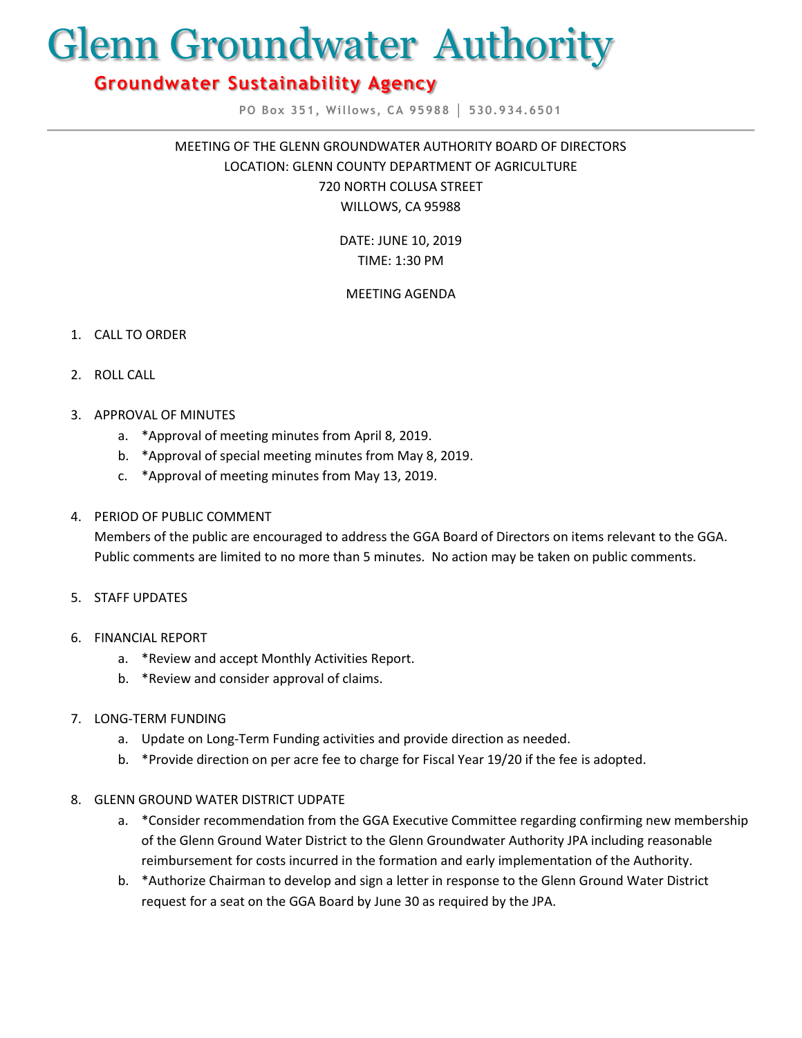# Glenn Groundwater Authority

# **Groundwater Sustainability Agency**

**PO Box 351, Willows, CA 95988 │ 530.934.6501**

MEETING OF THE GLENN GROUNDWATER AUTHORITY BOARD OF DIRECTORS LOCATION: GLENN COUNTY DEPARTMENT OF AGRICULTURE 720 NORTH COLUSA STREET WILLOWS, CA 95988

> DATE: JUNE 10, 2019 TIME: 1:30 PM

## MEETING AGENDA

- 1. CALL TO ORDER
- 2. ROLL CALL
- 3. APPROVAL OF MINUTES
	- a. \*Approval of meeting minutes from April 8, 2019.
	- b. \*Approval of special meeting minutes from May 8, 2019.
	- c. \*Approval of meeting minutes from May 13, 2019.

#### 4. PERIOD OF PUBLIC COMMENT

Members of the public are encouraged to address the GGA Board of Directors on items relevant to the GGA. Public comments are limited to no more than 5 minutes. No action may be taken on public comments.

- 5. STAFF UPDATES
- 6. FINANCIAL REPORT
	- a. \*Review and accept Monthly Activities Report.
	- b. \*Review and consider approval of claims.
- 7. LONG-TERM FUNDING
	- a. Update on Long-Term Funding activities and provide direction as needed.
	- b. \*Provide direction on per acre fee to charge for Fiscal Year 19/20 if the fee is adopted.

#### 8. GLENN GROUND WATER DISTRICT UDPATE

- a. \*Consider recommendation from the GGA Executive Committee regarding confirming new membership of the Glenn Ground Water District to the Glenn Groundwater Authority JPA including reasonable reimbursement for costs incurred in the formation and early implementation of the Authority.
- b. \*Authorize Chairman to develop and sign a letter in response to the Glenn Ground Water District request for a seat on the GGA Board by June 30 as required by the JPA.